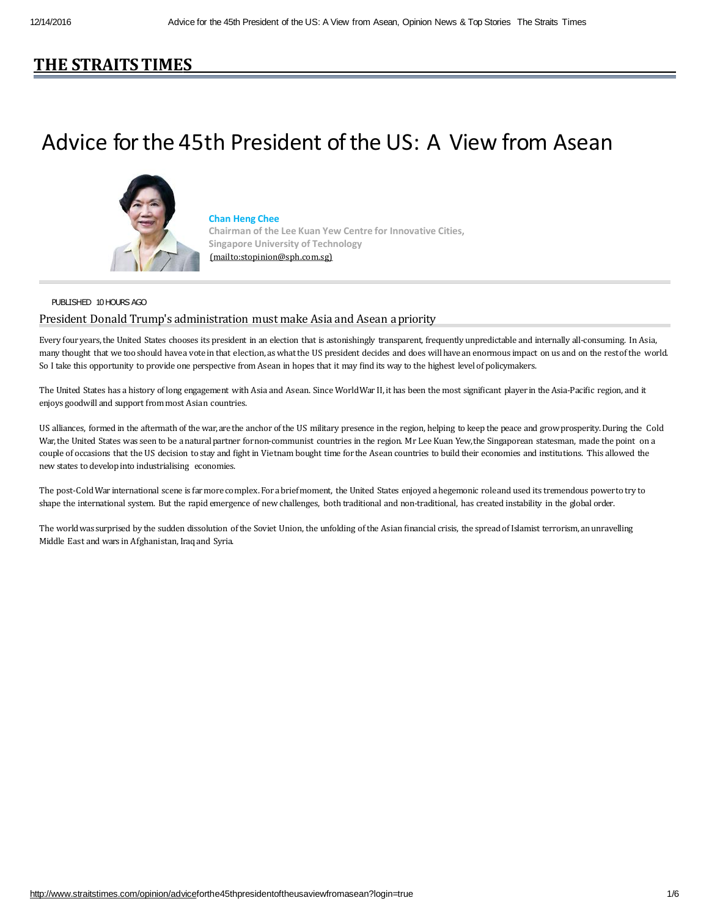## **[THE STRAITSTIME](http://www.straitstimes.com/)S**

# Advice for the 45th President of the US: A View from Asean



#### **Chan Heng Chee**

**Chairman of the Lee Kuan Yew Centre for Innovative Cities, Singapore University of Technology** [\(mailto:stopinion@sph.com.sg\)](mailto:stopinion@sph.com.sg)

#### PUBLISHED 10 HOURS AGO

### President Donald Trump's administration must make Asia and Asean apriority

Every four years, the United States chooses its president in an election that is astonishingly transparent, frequently unpredictable and internally all-consuming. In Asia, many thought that we too should have a vote in that election, as what the US president decides and does will have an enormous impact on us and on the rest of the world. So I take this opportunity to provide one perspective from Asean in hopes that it may find its way to the highest level of policymakers.

The United States has a history of long engagement with Asia and Asean. Since World War II, it has been the most significant player in the Asia-Pacific region, and it enjoys goodwill and support from most Asian countries.

US alliances, formed in the aftermath of the war, are the anchor of the US military presence in the region, helping to keep the peace and grow prosperity. During the Cold War, the United States was seen to be a natural partner for non-communist countries in the region. Mr Lee Kuan Yew, the Singaporean statesman, made the point on a couple of occasions that the US decision to stay and fight in Vietnam bought time for the Asean countries to build their economies and institutions. This allowed the new states to develop into industrialising economies.

The post-Cold War international scene is far more complex. For a brief moment, the United States enjoyed a hegemonic role and used its tremendous power to try to shape the international system. But the rapid emergence of new challenges, both traditional and non-traditional, has created instability in the global order.

The world was surprised by the sudden dissolution of the Soviet Union, the unfolding of the Asian financial crisis, the spread of Islamist terrorism, an unravelling Middle East and wars in Afghanistan, Iraq and Syria.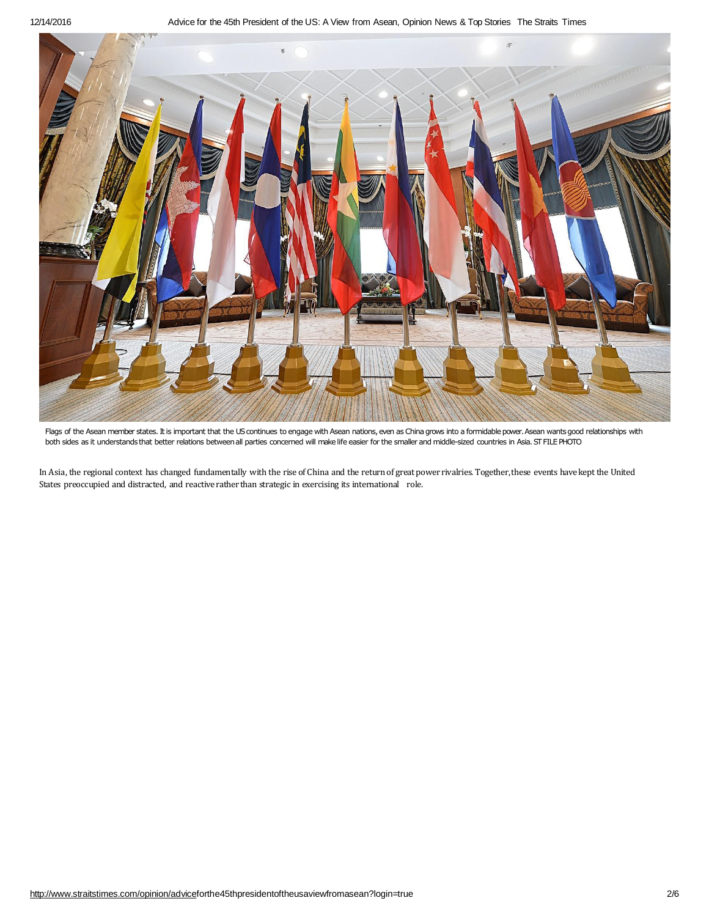

Flags of the Asean member states. It is important that the US continues to engage with Asean nations, even as China grows into a formidable power. Asean wants good relationships with both sides as it understands that better relations between all parties concerned will make life easier for the smaller and middle-sized countries in Asia. ST FILE PHOTO

In Asia, the regional context has changed fundamentally with the rise of China and the return of great power rivalries. Together, these events have kept the United States preoccupied and distracted, and reactive rather than strategic in exercising its international role.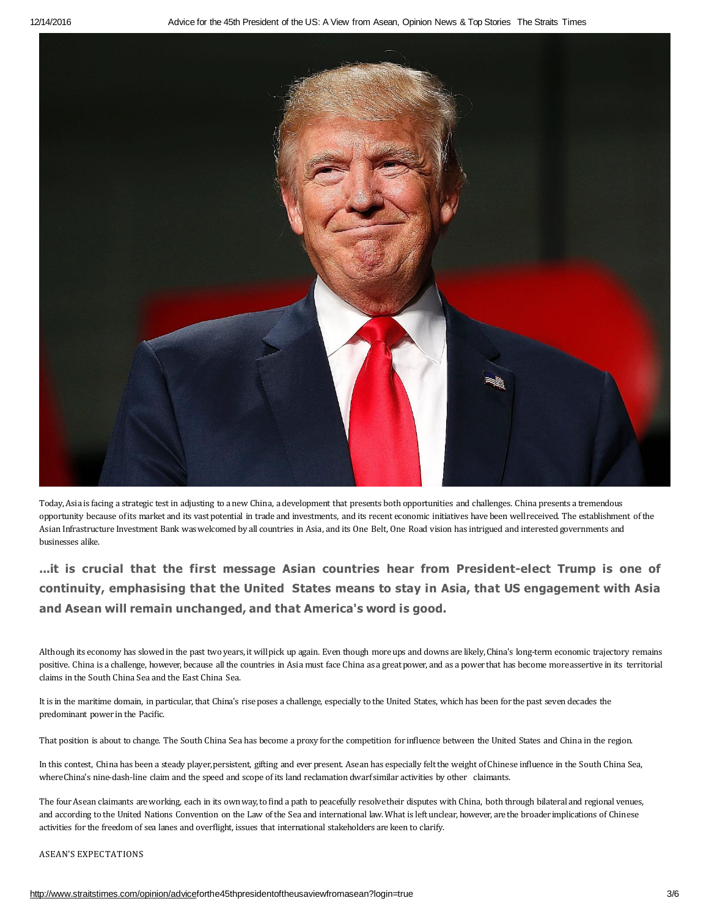

Today, Asia is facing a strategic test in adjusting to a new China, a development that presents both opportunities and challenges. China presents a tremendous opportunity because of its market and its vast potential in trade and investments, and its recent economic initiatives have been well received. The establishment of the Asian Infrastructure Investment Bank was welcomed by all countries in Asia, and its One Belt, One Road vision has intrigued and interested governments and businesses alike.

**...it is crucial that the first message Asian countries hear from President-elect Trump is one of continuity, emphasising that the United States means to stay in Asia, that US engagement with Asia and Asean will remain unchanged, and that America's word is good.**

Although its economy has slowed in the past two years, it will pick up again. Even though more ups and downs are likely, China's long-term economic trajectory remains positive. China is a challenge, however, because all the countries in Asia must face China as a great power, and as a power that has become more assertive in its territorial claims in the South China Sea and the East China Sea.

It is in the maritime domain, in particular, that China's rise poses a challenge, especially to the United States, which has been for the past seven decades the predominant power in the Pacific.

That position is about to change. The South China Sea has become a proxy for the competition for influence between the United States and China in the region.

In this contest, China has been a steady player, persistent, gifting and ever present. Asean has especially felt the weight of Chinese influence in the South China Sea, where China's nine-dash-line claim and the speed and scope of its land reclamation dwarf similar activities by other claimants.

The four Asean claimants are working, each in its own way, to find a path to peacefully resolve their disputes with China, both through bilateral and regional venues, and according to the United Nations Convention on the Law of the Sea and international law. What is left unclear, however, are the broader implications of Chinese activities for the freedom of sea lanes and overflight, issues that international stakeholders are keen to clarify.

#### ASEAN'S EXPECTATIONS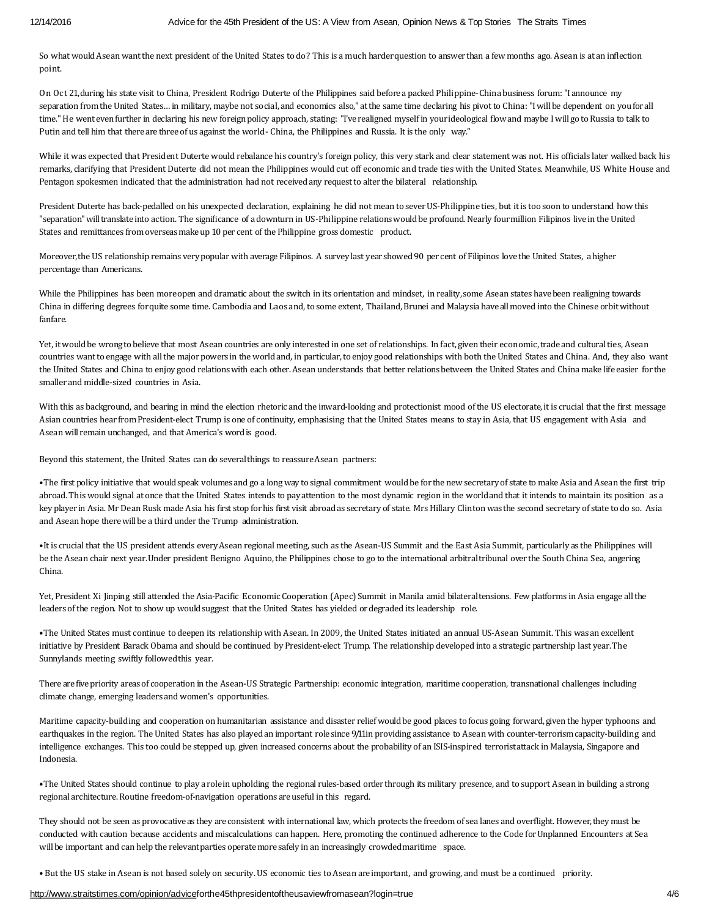So what would Asean want the next president of the United States to do? This is a much harder question to answer than a few months ago. Asean is at an inflection point.

On Oct 21, during his state visit to China, President Rodrigo Duterte of the Philippines said before a packed Philippine-China business forum: "I announce my separation from the United States... in military, maybe not social, and economics also," at the same time declaring his pivot to China: "I will be dependent on you for all time." He went even further in declaring his new foreign policy approach, stating: "I've realigned myself in your ideological flow and maybe I will go to Russia to talk to Putin and tell him that there are three of us against the world - China, the Philippines and Russia. It is the only way."

While it was expected that President Duterte would rebalance his country's foreign policy, this very stark and clear statement was not. His officials later walked back his remarks, clarifying that President Duterte did not mean the Philippines would cut off economic and trade ties with the United States. Meanwhile, US White House and Pentagon spokesmen indicated that the administration had not receivedany request to alter the bilateral relationship.

President Duterte has back-pedalled on his unexpected declaration, explaining he did not mean to sever US-Philippine ties, but it is too soon to understand how this "separation" will translate into action. The significance of a downturn in US-Philippine relations would be profound. Nearly four million Filipinos live in the United States and remittances from overseas make up 10 per cent of the Philippine gross domestic product.

Moreover, the US relationship remains very popular with average Filipinos. A survey last year showed 90 per cent of Filipinos love the United States, a higher percentage than Americans.

While the Philippines has been more open and dramatic about the switch in its orientation and mindset, in reality, some Asean states have been realigning towards China in differing degrees for quite some time. Cambodia and Laos and, to some extent, Thailand, Brunei and Malaysia have all moved into the Chinese orbit without fanfare.

Yet, it would be wrong to believe that most Asean countries are only interested in one set of relationships. In fact, given their economic, trade and cultural ties, Asean countries want to engage with all the major powers in the world and, in particular, to enjoy good relationships with both the United States and China. And, they also want the United States and China to enjoy good relations with each other. Asean understands that better relations between the United States and China make life easier for the smaller and middle-sized countries in Asia.

With this as background, and bearing in mind the election rhetoric and the inward-looking and protectionist mood of the US electorate, it is crucial that the first message Asian countries hear from President-elect Trump is one of continuity, emphasising that the United States means to stay in Asia, that US engagement with Asia and Asean will remain unchanged, and that America's word is good.

Beyond this statement, the United States can do several things to reassure Asean partners:

•The first policy initiative that would speak volumes and go a long way to signal commitment would be for the new secretary of state to make Asia and Asean the first trip abroad. This would signal at once that the United States intends to pay attention to the most dynamic region in the world and that it intends to maintain its position as a key player in Asia. Mr Dean Rusk made Asia his first stop for his first visit abroad as secretary of state. Mrs Hillary Clinton was the second secretary of state to do so. Asia and Asean hope there will be a third under the Trump administration.

•It is crucial that the US president attends every Asean regional meeting, such as the Asean-US Summit and the East Asia Summit, particularly as the Philippines will be the Asean chair next year. Under president Benigno Aquino, the Philippines chose to go to the international arbitral tribunal over the South China Sea, angering China.

Yet, President Xi Jinping still attended the Asia-Pacific Economic Cooperation (Apec) Summit in Manila amid bilateral tensions. Few platforms in Asia engage all the leaders of the region. Not to show up would suggest that the United States has yielded or degraded its leadership role.

•The United States must continue to deepen its relationship with Asean. In 2009, the United States initiated an annual US-Asean Summit. This was an excellent initiative by President Barack Obama and should be continued by President-elect Trump. The relationship developed into a strategic partnership last year. The Sunnylands meeting swiftly followed this year.

There are five priority areas of cooperation in the Asean-US Strategic Partnership: economic integration, maritime cooperation, transnational challenges including climate change, emerging leaders and women's opportunities.

Maritime capacity-building and cooperation on humanitarian assistance and disaster relief would be good places to focus going forward, given the hyper typhoons and earthquakes in the region. The United States has also played an important role since 9/11in providing assistance to Asean with counter-terrorism capacity-building and intelligence exchanges. This too could be stepped up, given increased concerns about the probability of an ISIS-inspired terrorist attack in Malaysia, Singapore and Indonesia.

•The United States should continue to play a role in upholding the regional rules-based order through its military presence, and to support Asean in building a strong regional architecture. Routine freedom-of-navigation operations are useful in this regard.

They should not be seen as provocative as they are consistent with international law, which protects the freedom of sea lanes and overflight. However, they must be conducted with caution because accidents and miscalculations can happen. Here, promoting the continued adherence to the Code for Unplanned Encounters at Sea will be important and can help the relevant parties operate more safely in an increasingly crowded maritime space.

• But the US stake in Asean is not based solely on security. US economic ties to Asean are important, and growing, and must be a continued priority.